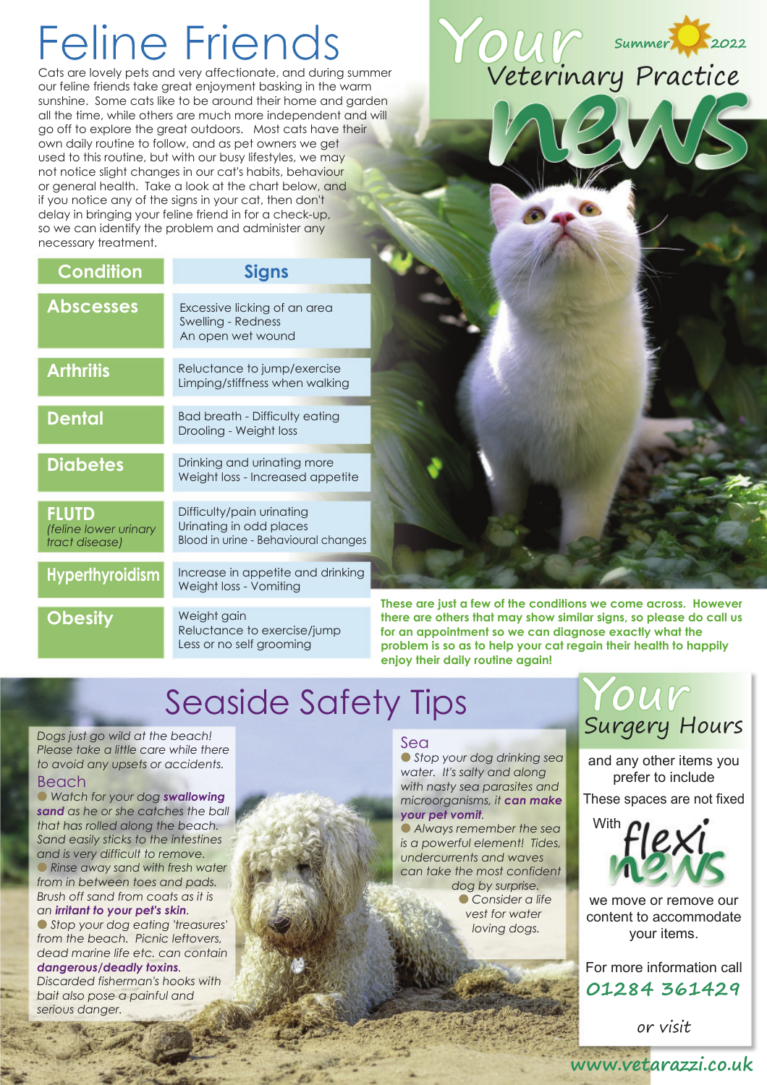# Feline Friends

Cats are lovely pets and very affectionate, and during summer our feline friends take great enjoyment basking in the warm sunshine. Some cats like to be around their home and garden all the time, while others are much more independent and will go off to explore the great outdoors. Most cats have their own daily routine to follow, and as pet owners we get used to this routine, but with our busy lifestyles, we may not notice slight changes in our cat's habits, behaviour or general health. Take a look at the chart below, and if you notice any of the signs in your cat, then don't delay in bringing your feline friend in for a check-up, so we can identify the problem and administer any necessary treatment.

| <b>Condition</b>                                        | <b>Signs</b>                                                                                 |
|---------------------------------------------------------|----------------------------------------------------------------------------------------------|
| <b>Abscesses</b>                                        | Excessive licking of an area<br>Swelling - Redness<br>An open wet wound                      |
| <b>Arthritis</b>                                        | Reluctance to jump/exercise<br>Limping/stiffness when walking                                |
| <b>Dental</b>                                           | <b>Bad breath - Difficulty eating</b><br>Drooling - Weight loss                              |
| <b>Diabetes</b>                                         | Drinking and urinating more<br>Weight loss - Increased appetite                              |
| <b>FLUTD</b><br>(feline lower urinary<br>tract disease) | Difficulty/pain urinating<br>Urinating in odd places<br>Blood in urine - Behavioural changes |
| <b>Hyperthyroidism</b>                                  | Increase in appetite and drinking<br>Weight loss - Vomiting                                  |
| <b>Obesity</b>                                          | Weight gain<br><b>D</b> . I . I                                                              |

Reluctance to exercise/jump Less or no self grooming

**These are just a few of the conditions we come across. However there are others that may show similar signs, so please do call us for an appointment so we can diagnose exactly what the problem is so as to help your cat regain their health to happily enjoy their daily routine again!**

# Seaside Safety Tips

*Dogs just go wild at the beach! Please take a little care while there to avoid any upsets or accidents.*

### Beach

l *Watch for your dog swallowing sand as he or she catches the ball that has rolled along the beach. Sand easily sticks to the intestines and is very difficult to remove.*

l *Rinse away sand with fresh water from in between toes and pads. Brush off sand from coats as it is an irritant to your pet's skin.*

l *Stop your dog eating 'treasures' from the beach. Picnic leftovers, dead marine life etc. can contain dangerous/deadly toxins.*

*Discarded fisherman's hooks with bait also pose a painful and serious danger.*

### Sea

l *Stop your dog drinking sea water. It's salty and along with nasty sea parasites and microorganisms, it can make your pet vomit.*

l *Always remember the sea is a powerful element! Tides, undercurrents and waves can take the most confident dog by surprise.*

l *Consider a life vest for water loving dogs.*

### **Your** Surgery Hours

and any other items you prefer to include These spaces are not fixed



we move or remove our content to accommodate your items.

For more information call **01284 361429**

or visit

**Your** Veterinary Practice **Summer 2022**